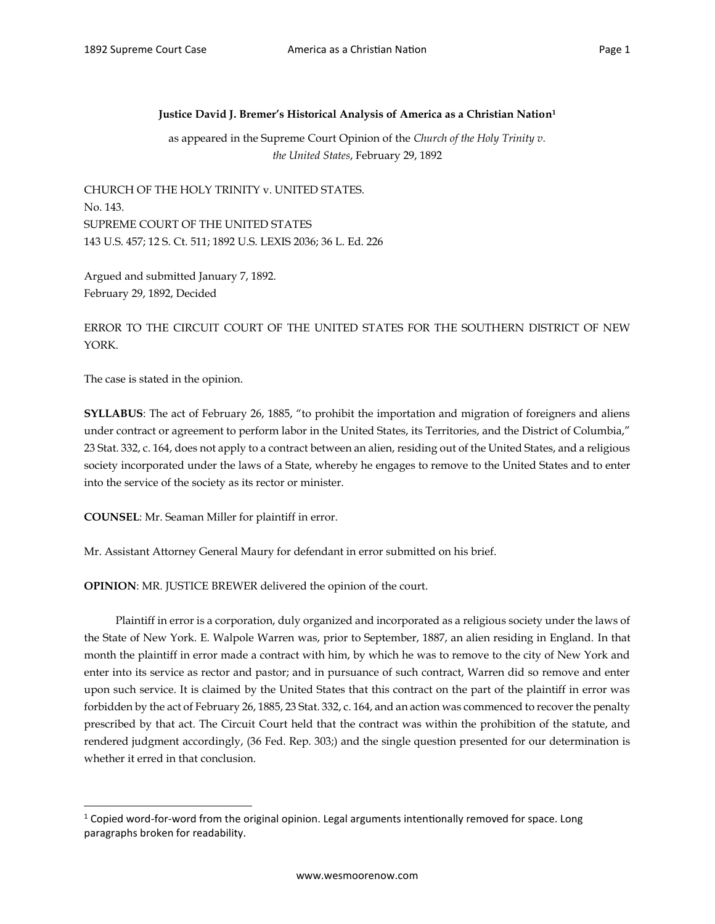## **Justice David J. Bremer's Historical Analysis of America as a Christian Nation<sup>1</sup>**

as appeared in the Supreme Court Opinion of the *Church of the Holy Trinity v. the United States*, February 29, 1892

CHURCH OF THE HOLY TRINITY v. UNITED STATES. No. 143. SUPREME COURT OF THE UNITED STATES 143 U.S. 457; 12 S. Ct. 511; 1892 U.S. LEXIS 2036; 36 L. Ed. 226

Argued and submitted January 7, 1892. February 29, 1892, Decided

## ERROR TO THE CIRCUIT COURT OF THE UNITED STATES FOR THE SOUTHERN DISTRICT OF NEW YORK.

The case is stated in the opinion.

**SYLLABUS**: The act of February 26, 1885, "to prohibit the importation and migration of foreigners and aliens under contract or agreement to perform labor in the United States, its Territories, and the District of Columbia," 23 Stat. 332, c. 164, does not apply to a contract between an alien, residing out of the United States, and a religious society incorporated under the laws of a State, whereby he engages to remove to the United States and to enter into the service of the society as its rector or minister.

**COUNSEL**: Mr. Seaman Miller for plaintiff in error.

Mr. Assistant Attorney General Maury for defendant in error submitted on his brief.

**OPINION**: MR. JUSTICE BREWER delivered the opinion of the court.

Plaintiff in error is a corporation, duly organized and incorporated as a religious society under the laws of the State of New York. E. Walpole Warren was, prior to September, 1887, an alien residing in England. In that month the plaintiff in error made a contract with him, by which he was to remove to the city of New York and enter into its service as rector and pastor; and in pursuance of such contract, Warren did so remove and enter upon such service. It is claimed by the United States that this contract on the part of the plaintiff in error was forbidden by the act of February 26, 1885, 23 Stat. 332, c. 164, and an action was commenced to recover the penalty prescribed by that act. The Circuit Court held that the contract was within the prohibition of the statute, and rendered judgment accordingly, (36 Fed. Rep. 303;) and the single question presented for our determination is whether it erred in that conclusion.

 $1$  Copied word-for-word from the original opinion. Legal arguments intentionally removed for space. Long paragraphs broken for readability.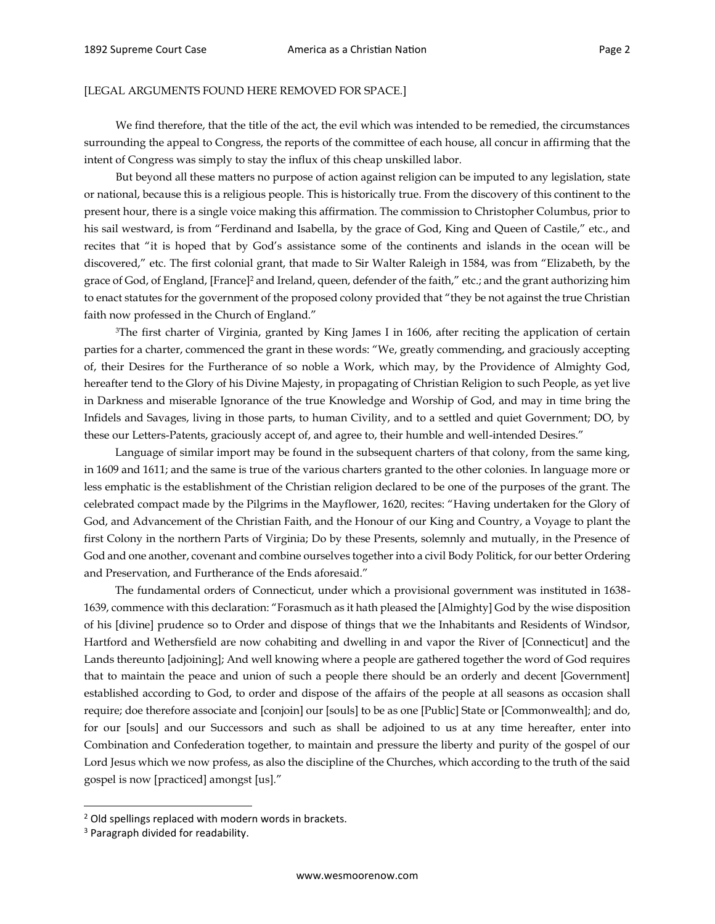## [LEGAL ARGUMENTS FOUND HERE REMOVED FOR SPACE.]

We find therefore, that the title of the act, the evil which was intended to be remedied, the circumstances surrounding the appeal to Congress, the reports of the committee of each house, all concur in affirming that the intent of Congress was simply to stay the influx of this cheap unskilled labor.

But beyond all these matters no purpose of action against religion can be imputed to any legislation, state or national, because this is a religious people. This is historically true. From the discovery of this continent to the present hour, there is a single voice making this affirmation. The commission to Christopher Columbus, prior to his sail westward, is from "Ferdinand and Isabella, by the grace of God, King and Queen of Castile," etc., and recites that "it is hoped that by God's assistance some of the continents and islands in the ocean will be discovered," etc. The first colonial grant, that made to Sir Walter Raleigh in 1584, was from "Elizabeth, by the grace of God, of England, [France] <sup>2</sup> and Ireland, queen, defender of the faith," etc.; and the grant authorizing him to enact statutes for the government of the proposed colony provided that "they be not against the true Christian faith now professed in the Church of England."

<sup>3</sup>The first charter of Virginia, granted by King James I in 1606, after reciting the application of certain parties for a charter, commenced the grant in these words: "We, greatly commending, and graciously accepting of, their Desires for the Furtherance of so noble a Work, which may, by the Providence of Almighty God, hereafter tend to the Glory of his Divine Majesty, in propagating of Christian Religion to such People, as yet live in Darkness and miserable Ignorance of the true Knowledge and Worship of God, and may in time bring the Infidels and Savages, living in those parts, to human Civility, and to a settled and quiet Government; DO, by these our Letters-Patents, graciously accept of, and agree to, their humble and well-intended Desires."

Language of similar import may be found in the subsequent charters of that colony, from the same king, in 1609 and 1611; and the same is true of the various charters granted to the other colonies. In language more or less emphatic is the establishment of the Christian religion declared to be one of the purposes of the grant. The celebrated compact made by the Pilgrims in the Mayflower, 1620, recites: "Having undertaken for the Glory of God, and Advancement of the Christian Faith, and the Honour of our King and Country, a Voyage to plant the first Colony in the northern Parts of Virginia; Do by these Presents, solemnly and mutually, in the Presence of God and one another, covenant and combine ourselves together into a civil Body Politick, for our better Ordering and Preservation, and Furtherance of the Ends aforesaid."

The fundamental orders of Connecticut, under which a provisional government was instituted in 1638- 1639, commence with this declaration: "Forasmuch as it hath pleased the [Almighty] God by the wise disposition of his [divine] prudence so to Order and dispose of things that we the Inhabitants and Residents of Windsor, Hartford and Wethersfield are now cohabiting and dwelling in and vapor the River of [Connecticut] and the Lands thereunto [adjoining]; And well knowing where a people are gathered together the word of God requires that to maintain the peace and union of such a people there should be an orderly and decent [Government] established according to God, to order and dispose of the affairs of the people at all seasons as occasion shall require; doe therefore associate and [conjoin] our [souls] to be as one [Public] State or [Commonwealth]; and do, for our [souls] and our Successors and such as shall be adjoined to us at any time hereafter, enter into Combination and Confederation together, to maintain and pressure the liberty and purity of the gospel of our Lord Jesus which we now profess, as also the discipline of the Churches, which according to the truth of the said gospel is now [practiced] amongst [us]."

<sup>&</sup>lt;sup>2</sup> Old spellings replaced with modern words in brackets.

<sup>&</sup>lt;sup>3</sup> Paragraph divided for readability.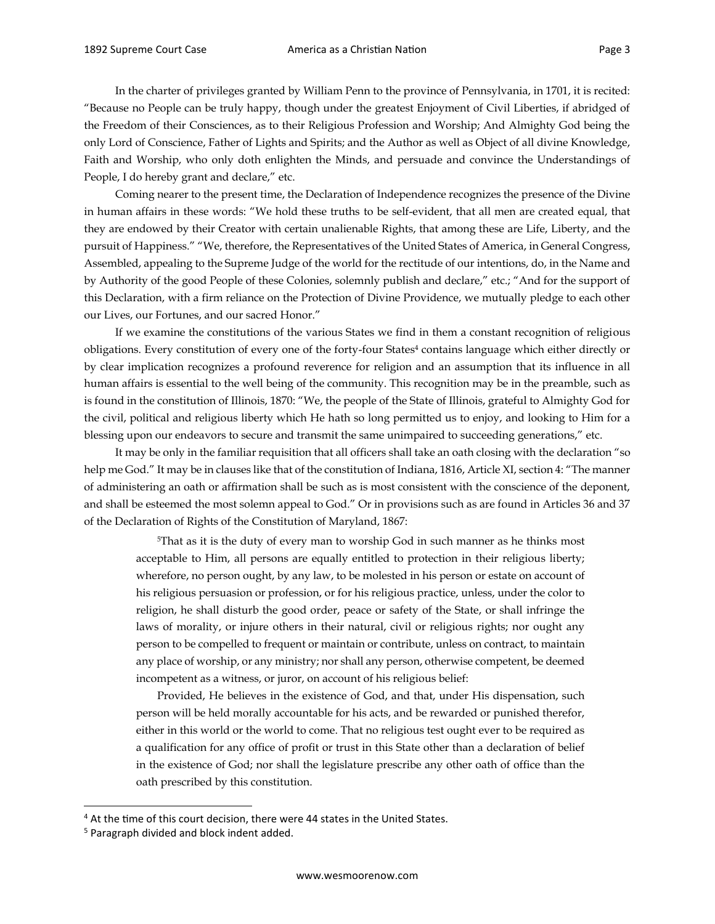In the charter of privileges granted by William Penn to the province of Pennsylvania, in 1701, it is recited: "Because no People can be truly happy, though under the greatest Enjoyment of Civil Liberties, if abridged of the Freedom of their Consciences, as to their Religious Profession and Worship; And Almighty God being the only Lord of Conscience, Father of Lights and Spirits; and the Author as well as Object of all divine Knowledge, Faith and Worship, who only doth enlighten the Minds, and persuade and convince the Understandings of People, I do hereby grant and declare," etc.

Coming nearer to the present time, the Declaration of Independence recognizes the presence of the Divine in human affairs in these words: "We hold these truths to be self-evident, that all men are created equal, that they are endowed by their Creator with certain unalienable Rights, that among these are Life, Liberty, and the pursuit of Happiness." "We, therefore, the Representatives of the United States of America, in General Congress, Assembled, appealing to the Supreme Judge of the world for the rectitude of our intentions, do, in the Name and by Authority of the good People of these Colonies, solemnly publish and declare," etc.; "And for the support of this Declaration, with a firm reliance on the Protection of Divine Providence, we mutually pledge to each other our Lives, our Fortunes, and our sacred Honor."

If we examine the constitutions of the various States we find in them a constant recognition of religious obligations. Every constitution of every one of the forty-four States <sup>4</sup> contains language which either directly or by clear implication recognizes a profound reverence for religion and an assumption that its influence in all human affairs is essential to the well being of the community. This recognition may be in the preamble, such as is found in the constitution of Illinois, 1870: "We, the people of the State of Illinois, grateful to Almighty God for the civil, political and religious liberty which He hath so long permitted us to enjoy, and looking to Him for a blessing upon our endeavors to secure and transmit the same unimpaired to succeeding generations," etc.

It may be only in the familiar requisition that all officers shall take an oath closing with the declaration "so help me God." It may be in clauses like that of the constitution of Indiana, 1816, Article XI, section 4: "The manner of administering an oath or affirmation shall be such as is most consistent with the conscience of the deponent, and shall be esteemed the most solemn appeal to God." Or in provisions such as are found in Articles 36 and 37 of the Declaration of Rights of the Constitution of Maryland, 1867:

<sup>5</sup>That as it is the duty of every man to worship God in such manner as he thinks most acceptable to Him, all persons are equally entitled to protection in their religious liberty; wherefore, no person ought, by any law, to be molested in his person or estate on account of his religious persuasion or profession, or for his religious practice, unless, under the color to religion, he shall disturb the good order, peace or safety of the State, or shall infringe the laws of morality, or injure others in their natural, civil or religious rights; nor ought any person to be compelled to frequent or maintain or contribute, unless on contract, to maintain any place of worship, or any ministry; nor shall any person, otherwise competent, be deemed incompetent as a witness, or juror, on account of his religious belief:

Provided, He believes in the existence of God, and that, under His dispensation, such person will be held morally accountable for his acts, and be rewarded or punished therefor, either in this world or the world to come. That no religious test ought ever to be required as a qualification for any office of profit or trust in this State other than a declaration of belief in the existence of God; nor shall the legislature prescribe any other oath of office than the oath prescribed by this constitution.

<sup>&</sup>lt;sup>4</sup> At the time of this court decision, there were 44 states in the United States.

<sup>5</sup> Paragraph divided and block indent added.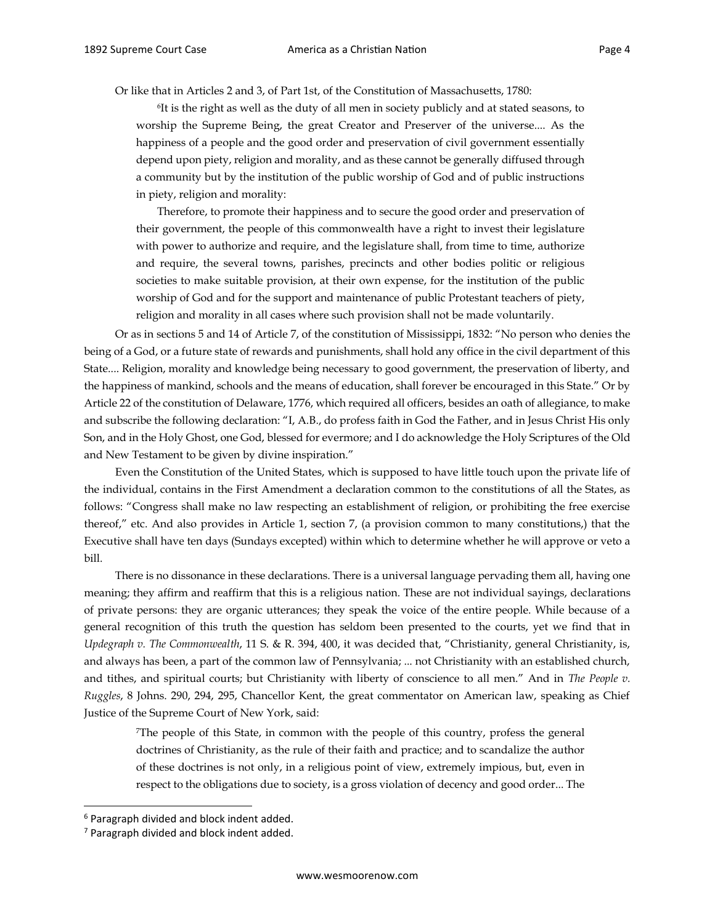Or like that in Articles 2 and 3, of Part 1st, of the Constitution of Massachusetts, 1780:

6 It is the right as well as the duty of all men in society publicly and at stated seasons, to worship the Supreme Being, the great Creator and Preserver of the universe.... As the happiness of a people and the good order and preservation of civil government essentially depend upon piety, religion and morality, and as these cannot be generally diffused through a community but by the institution of the public worship of God and of public instructions in piety, religion and morality:

Therefore, to promote their happiness and to secure the good order and preservation of their government, the people of this commonwealth have a right to invest their legislature with power to authorize and require, and the legislature shall, from time to time, authorize and require, the several towns, parishes, precincts and other bodies politic or religious societies to make suitable provision, at their own expense, for the institution of the public worship of God and for the support and maintenance of public Protestant teachers of piety, religion and morality in all cases where such provision shall not be made voluntarily.

Or as in sections 5 and 14 of Article 7, of the constitution of Mississippi, 1832: "No person who denies the being of a God, or a future state of rewards and punishments, shall hold any office in the civil department of this State.... Religion, morality and knowledge being necessary to good government, the preservation of liberty, and the happiness of mankind, schools and the means of education, shall forever be encouraged in this State." Or by Article 22 of the constitution of Delaware, 1776, which required all officers, besides an oath of allegiance, to make and subscribe the following declaration: "I, A.B., do profess faith in God the Father, and in Jesus Christ His only Son, and in the Holy Ghost, one God, blessed for evermore; and I do acknowledge the Holy Scriptures of the Old and New Testament to be given by divine inspiration."

Even the Constitution of the United States, which is supposed to have little touch upon the private life of the individual, contains in the First Amendment a declaration common to the constitutions of all the States, as follows: "Congress shall make no law respecting an establishment of religion, or prohibiting the free exercise thereof," etc. And also provides in Article 1, section 7, (a provision common to many constitutions,) that the Executive shall have ten days (Sundays excepted) within which to determine whether he will approve or veto a bill.

There is no dissonance in these declarations. There is a universal language pervading them all, having one meaning; they affirm and reaffirm that this is a religious nation. These are not individual sayings, declarations of private persons: they are organic utterances; they speak the voice of the entire people. While because of a general recognition of this truth the question has seldom been presented to the courts, yet we find that in *Updegraph v. The Commonwealth*, 11 S. & R. 394, 400, it was decided that, "Christianity, general Christianity, is, and always has been, a part of the common law of Pennsylvania; ... not Christianity with an established church, and tithes, and spiritual courts; but Christianity with liberty of conscience to all men." And in *The People v. Ruggles*, 8 Johns. 290, 294, 295, Chancellor Kent, the great commentator on American law, speaking as Chief Justice of the Supreme Court of New York, said:

<sup>7</sup>The people of this State, in common with the people of this country, profess the general doctrines of Christianity, as the rule of their faith and practice; and to scandalize the author of these doctrines is not only, in a religious point of view, extremely impious, but, even in respect to the obligations due to society, is a gross violation of decency and good order... The

<sup>6</sup> Paragraph divided and block indent added.

<sup>7</sup> Paragraph divided and block indent added.